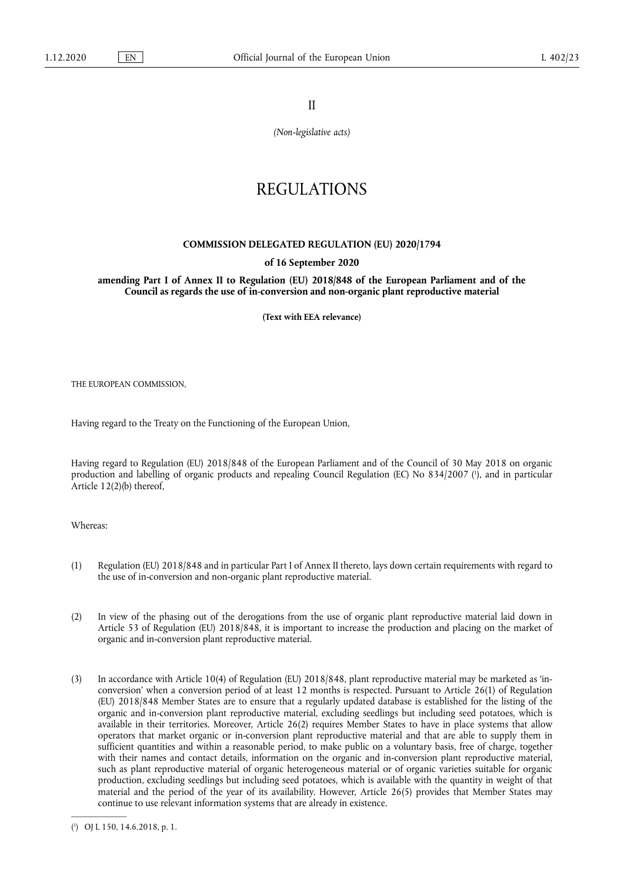II

*(Non-legislative acts)* 

## REGULATIONS

## **COMMISSION DELEGATED REGULATION (EU) 2020/1794**

## **of 16 September 2020**

**amending Part I of Annex II to Regulation (EU) 2018/848 of the European Parliament and of the Council as regards the use of in-conversion and non-organic plant reproductive material** 

**(Text with EEA relevance)** 

THE EUROPEAN COMMISSION,

Having regard to the Treaty on the Functioning of the European Union,

<span id="page-0-1"></span>Having regard to Regulation (EU) 2018/848 of the European Parliament and of the Council of 30 May 2018 on organic production and labelling of organic products and repealing Council Regulation (EC) No 834/2007 ( 1 [\),](#page-0-0) and in particular Article 12(2)(b) thereof,

Whereas:

- (1) Regulation (EU) 2018/848 and in particular Part I of Annex II thereto, lays down certain requirements with regard to the use of in-conversion and non-organic plant reproductive material.
- (2) In view of the phasing out of the derogations from the use of organic plant reproductive material laid down in Article 53 of Regulation (EU) 2018/848, it is important to increase the production and placing on the market of organic and in-conversion plant reproductive material.
- (3) In accordance with Article 10(4) of Regulation (EU) 2018/848, plant reproductive material may be marketed as 'inconversion' when a conversion period of at least 12 months is respected. Pursuant to Article 26(1) of Regulation (EU) 2018/848 Member States are to ensure that a regularly updated database is established for the listing of the organic and in-conversion plant reproductive material, excluding seedlings but including seed potatoes, which is available in their territories. Moreover, Article 26(2) requires Member States to have in place systems that allow operators that market organic or in-conversion plant reproductive material and that are able to supply them in sufficient quantities and within a reasonable period, to make public on a voluntary basis, free of charge, together with their names and contact details, information on the organic and in-conversion plant reproductive material, such as plant reproductive material of organic heterogeneous material or of organic varieties suitable for organic production, excluding seedlings but including seed potatoes, which is available with the quantity in weight of that material and the period of the year of its availability. However, Article 26(5) provides that Member States may continue to use relevant information systems that are already in existence.

<span id="page-0-0"></span>[<sup>\(</sup>](#page-0-1) 1 ) OJ L 150, 14.6.2018, p. 1.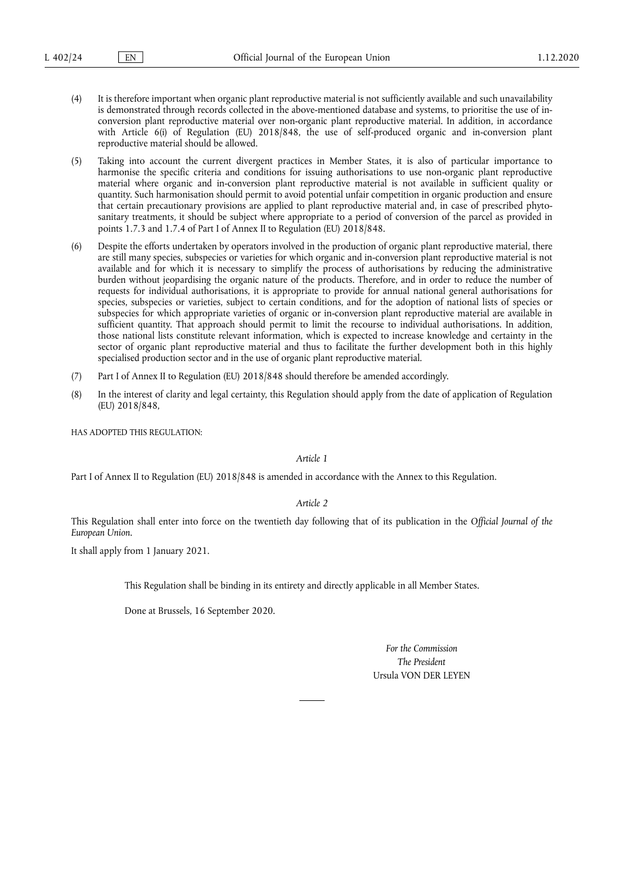- (4) It is therefore important when organic plant reproductive material is not sufficiently available and such unavailability is demonstrated through records collected in the above-mentioned database and systems, to prioritise the use of inconversion plant reproductive material over non-organic plant reproductive material. In addition, in accordance with Article 6(i) of Regulation (EU) 2018/848, the use of self-produced organic and in-conversion plant reproductive material should be allowed.
- (5) Taking into account the current divergent practices in Member States, it is also of particular importance to harmonise the specific criteria and conditions for issuing authorisations to use non-organic plant reproductive material where organic and in-conversion plant reproductive material is not available in sufficient quality or quantity. Such harmonisation should permit to avoid potential unfair competition in organic production and ensure that certain precautionary provisions are applied to plant reproductive material and, in case of prescribed phytosanitary treatments, it should be subject where appropriate to a period of conversion of the parcel as provided in points 1.7.3 and 1.7.4 of Part I of Annex II to Regulation (EU) 2018/848.
- (6) Despite the efforts undertaken by operators involved in the production of organic plant reproductive material, there are still many species, subspecies or varieties for which organic and in-conversion plant reproductive material is not available and for which it is necessary to simplify the process of authorisations by reducing the administrative burden without jeopardising the organic nature of the products. Therefore, and in order to reduce the number of requests for individual authorisations, it is appropriate to provide for annual national general authorisations for species, subspecies or varieties, subject to certain conditions, and for the adoption of national lists of species or subspecies for which appropriate varieties of organic or in-conversion plant reproductive material are available in sufficient quantity. That approach should permit to limit the recourse to individual authorisations. In addition, those national lists constitute relevant information, which is expected to increase knowledge and certainty in the sector of organic plant reproductive material and thus to facilitate the further development both in this highly specialised production sector and in the use of organic plant reproductive material.
- (7) Part I of Annex II to Regulation (EU) 2018/848 should therefore be amended accordingly.
- (8) In the interest of clarity and legal certainty, this Regulation should apply from the date of application of Regulation (EU) 2018/848,

HAS ADOPTED THIS REGULATION:

*Article 1* 

Part I of Annex II to Regulation (EU) 2018/848 is amended in accordance with the Annex to this Regulation.

*Article 2* 

This Regulation shall enter into force on the twentieth day following that of its publication in the *Official Journal of the European Union*.

It shall apply from 1 January 2021.

This Regulation shall be binding in its entirety and directly applicable in all Member States.

Done at Brussels, 16 September 2020.

*For the Commission The President*  Ursula VON DER LEYEN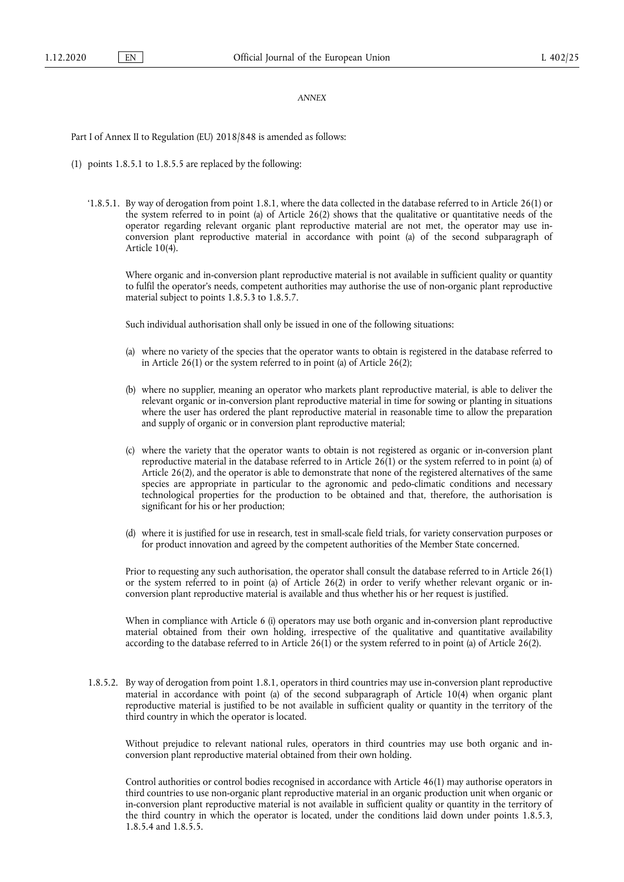## *ANNEX*

Part I of Annex II to Regulation (EU) 2018/848 is amended as follows:

- (1) points 1.8.5.1 to 1.8.5.5 are replaced by the following:
	- '1.8.5.1. By way of derogation from point 1.8.1, where the data collected in the database referred to in Article 26(1) or the system referred to in point (a) of Article 26(2) shows that the qualitative or quantitative needs of the operator regarding relevant organic plant reproductive material are not met, the operator may use inconversion plant reproductive material in accordance with point (a) of the second subparagraph of Article 10(4).

Where organic and in-conversion plant reproductive material is not available in sufficient quality or quantity to fulfil the operator's needs, competent authorities may authorise the use of non-organic plant reproductive material subject to points 1.8.5.3 to 1.8.5.7.

Such individual authorisation shall only be issued in one of the following situations:

- (a) where no variety of the species that the operator wants to obtain is registered in the database referred to in Article 26(1) or the system referred to in point (a) of Article 26(2);
- (b) where no supplier, meaning an operator who markets plant reproductive material, is able to deliver the relevant organic or in-conversion plant reproductive material in time for sowing or planting in situations where the user has ordered the plant reproductive material in reasonable time to allow the preparation and supply of organic or in conversion plant reproductive material;
- (c) where the variety that the operator wants to obtain is not registered as organic or in-conversion plant reproductive material in the database referred to in Article 26(1) or the system referred to in point (a) of Article 26(2), and the operator is able to demonstrate that none of the registered alternatives of the same species are appropriate in particular to the agronomic and pedo-climatic conditions and necessary technological properties for the production to be obtained and that, therefore, the authorisation is significant for his or her production;
- (d) where it is justified for use in research, test in small-scale field trials, for variety conservation purposes or for product innovation and agreed by the competent authorities of the Member State concerned.

Prior to requesting any such authorisation, the operator shall consult the database referred to in Article 26(1) or the system referred to in point (a) of Article 26(2) in order to verify whether relevant organic or inconversion plant reproductive material is available and thus whether his or her request is justified.

When in compliance with Article 6 (i) operators may use both organic and in-conversion plant reproductive material obtained from their own holding, irrespective of the qualitative and quantitative availability according to the database referred to in Article 26(1) or the system referred to in point (a) of Article 26(2).

1.8.5.2. By way of derogation from point 1.8.1, operators in third countries may use in-conversion plant reproductive material in accordance with point (a) of the second subparagraph of Article 10(4) when organic plant reproductive material is justified to be not available in sufficient quality or quantity in the territory of the third country in which the operator is located.

Without prejudice to relevant national rules, operators in third countries may use both organic and inconversion plant reproductive material obtained from their own holding.

Control authorities or control bodies recognised in accordance with Article 46(1) may authorise operators in third countries to use non-organic plant reproductive material in an organic production unit when organic or in-conversion plant reproductive material is not available in sufficient quality or quantity in the territory of the third country in which the operator is located, under the conditions laid down under points 1.8.5.3, 1.8.5.4 and 1.8.5.5.